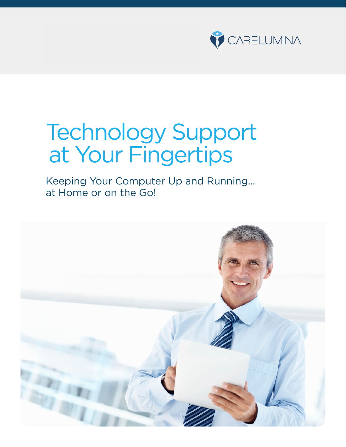

# Technology Support at Your Fingertips

Keeping Your Computer Up and Running... at Home or on the Go!

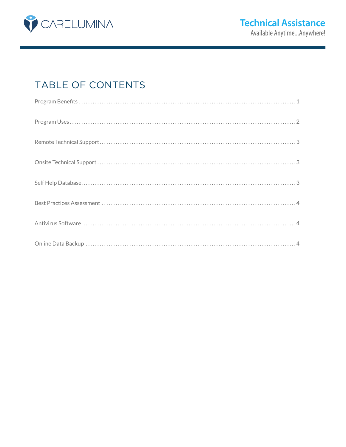

# TABLE OF CONTENTS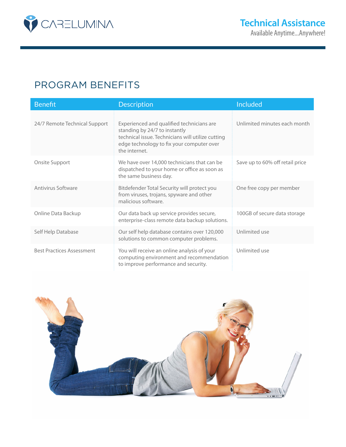

## PROGRAM BENEFITS

| <b>Benefit</b>                   | <b>Description</b>                                                                                                                                                                            | Included                        |
|----------------------------------|-----------------------------------------------------------------------------------------------------------------------------------------------------------------------------------------------|---------------------------------|
| 24/7 Remote Technical Support    | Experienced and qualified technicians are<br>standing by 24/7 to instantly<br>technical issue. Technicians will utilize cutting<br>edge technology to fix your computer over<br>the internet. | Unlimited minutes each month    |
| Onsite Support                   | We have over 14,000 technicians that can be<br>dispatched to your home or office as soon as<br>the same business day.                                                                         | Save up to 60% off retail price |
| Antivirus Software               | Bitdefender Total Security will protect you<br>from viruses, trojans, spyware and other<br>malicious software.                                                                                | One free copy per member        |
| Online Data Backup               | Our data back up service provides secure,<br>enterprise-class remote data backup solutions.                                                                                                   | 100GB of secure data storage    |
| Self Help Database               | Our self help database contains over 120,000<br>solutions to common computer problems.                                                                                                        | Unlimited use                   |
| <b>Best Practices Assessment</b> | You will receive an online analysis of your<br>computing environment and recommendation<br>to improve performance and security.                                                               | Unlimited use                   |

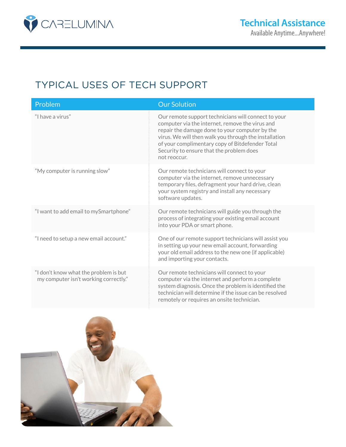

# TYPICAL USES OF TECH SUPPORT

| Problem                                                                        | <b>Our Solution</b>                                                                                                                                                                                                                                                                                                              |
|--------------------------------------------------------------------------------|----------------------------------------------------------------------------------------------------------------------------------------------------------------------------------------------------------------------------------------------------------------------------------------------------------------------------------|
| "I have a virus"                                                               | Our remote support technicians will connect to your<br>computer via the internet, remove the virus and<br>repair the damage done to your computer by the<br>virus. We will then walk you through the installation<br>of your complimentary copy of Bitdefender Total<br>Security to ensure that the problem does<br>not reoccur. |
| "My computer is running slow"                                                  | Our remote technicians will connect to your<br>computer via the internet, remove unnecessary<br>temporary files, defragment your hard drive, clean<br>your system registry and install any necessary<br>software updates.                                                                                                        |
| "I want to add email to mySmartphone"                                          | Our remote technicians will guide you through the<br>process of integrating your existing email account<br>into your PDA or smart phone.                                                                                                                                                                                         |
| "I need to setup a new email account."                                         | One of our remote support technicians will assist you<br>in setting up your new email account, forwarding<br>your old email address to the new one (if applicable)<br>and importing your contacts.                                                                                                                               |
| "I don't know what the problem is but<br>my computer isn't working correctly." | Our remote technicians will connect to your<br>computer via the internet and perform a complete<br>system diagnosis. Once the problem is identified the<br>technician will determine if the issue can be resolved<br>remotely or requires an onsite technician.                                                                  |

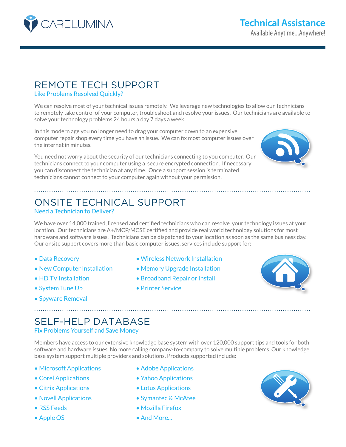

## REMOTE TECH SUPPORT

Like Problems Resolved Quickly?

We can resolve most of your technical issues remotely. We leverage new technologies to allow our Technicians to remotely take control of your computer, troubleshoot and resolve your issues. Our technicians are available to solve your technology problems 24 hours a day 7 days a week.

In this modern age you no longer need to drag your computer down to an expensive computer repair shop every time you have an issue. We can fix most computer issues over the internet in minutes.

You need not worry about the security of our technicians connecting to you computer. Our technicians connect to your computer using a secure encrypted connection. If necessary you can disconnect the technician at any time. Once a support session is terminated technicians cannot connect to your computer again without your permission.



# ONSITE TECHNICAL SUPPORT

## Need a Technician to Deliver?

We have over 14,000 trained, licensed and certified technicians who can resolve your technology issues at your location. Our technicians are A+/MCP/MCSE certified and provide real world technology solutions for most hardware and software issues. Technicians can be dispatched to your location as soon as the same business day. Our onsite support covers more than basic computer issues, services include support for:

- 
- 
- 
- System Tune Up Printer Service
- Spyware Removal
- Data Recovery  **Wireless Network Installation**
- New Computer Installation Memory Upgrade Installation
- HD TV Installation Broadband Repair or Install
	-



# SELF-HELP DATABASE

.................................................................................................................................

Fix Problems Yourself and Save Money

Members have access to our extensive knowledge base system with over 120,000 support tips and tools for both software and hardware issues. No more calling company-to-company to solve multiple problems. Our knowledge base system support multiple providers and solutions. Products supported include:

- Microsoft Applications Adobe Applications
- 
- Citrix Applications Lotus Applications
- 
- 
- 
- 
- Corel Applications Yahoo Applications
	-
- Novell Applications Symantec & McAfee
- RSS Feeds Mozilla Firefox
- Apple OS And More...